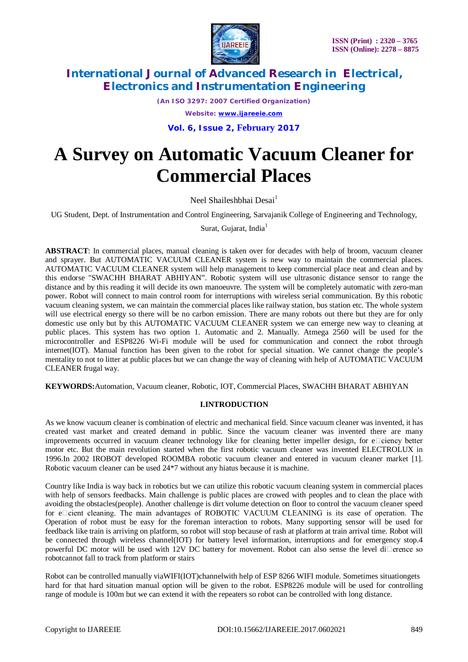

*(An ISO 3297: 2007 Certified Organization) Website: [www.ijareeie.com](http://www.ijareeie.com)*

**Vol. 6, Issue 2, February 2017**

# **A Survey on Automatic Vacuum Cleaner for Commercial Places**

Neel Shaileshbhai Desai<sup>1</sup>

UG Student, Dept. of Instrumentation and Control Engineering, Sarvajanik College of Engineering and Technology,

Surat, Gujarat, India $<sup>1</sup>$ </sup>

**ABSTRACT**: In commercial places, manual cleaning is taken over for decades with help of broom, vacuum cleaner and sprayer. But AUTOMATIC VACUUM CLEANER system is new way to maintain the commercial places. AUTOMATIC VACUUM CLEANER system will help management to keep commercial place neat and clean and by this endorse "SWACHH BHARAT ABHIYAN". Robotic system will use ultrasonic distance sensor to range the distance and by this reading it will decide its own manoeuvre. The system will be completely automatic with zero-man power. Robot will connect to main control room for interruptions with wireless serial communication. By this robotic vacuum cleaning system, we can maintain the commercial places like railway station, bus station etc. The whole system will use electrical energy so there will be no carbon emission. There are many robots out there but they are for only domestic use only but by this AUTOMATIC VACUUM CLEANER system we can emerge new way to cleaning at public places. This system has two option 1. Automatic and 2. Manually. Atmega 2560 will be used for the microcontroller and ESP8226 Wi-Fi module will be used for communication and connect the robot through internet(IOT). Manual function has been given to the robot for special situation. We cannot change the people's mentality to not to litter at public places but we can change the way of cleaning with help of AUTOMATIC VACUUM CLEANER frugal way.

**KEYWORDS:**Automation, Vacuum cleaner, Robotic, IOT, Commercial Places, SWACHH BHARAT ABHIYAN

#### **I.INTRODUCTION**

As we know vacuum cleaner is combination of electric and mechanical field. Since vacuum cleaner was invented, it has created vast market and created demand in public. Since the vacuum cleaner was invented there are many improvements occurred in vacuum cleaner technology like for cleaning better impeller design, for  $e$  ciency better motor etc. But the main revolution started when the first robotic vacuum cleaner was invented ELECTROLUX in 1996.In 2002 IROBOT developed ROOMBA robotic vacuum cleaner and entered in vacuum cleaner market [1]. Robotic vacuum cleaner can be used 24\*7 without any hiatus because it is machine.

Country like India is way back in robotics but we can utilize this robotic vacuum cleaning system in commercial places with help of sensors feedbacks. Main challenge is public places are crowed with peoples and to clean the place with avoiding the obstacles(people). Another challenge is dirt volume detection on floor to control the vacuum cleaner speed for elicient cleaning. The main advantages of ROBOTIC VACUUM CLEANING is its ease of operation. The Operation of robot must be easy for the foreman interaction to robots. Many supporting sensor will be used for feedback like train is arriving on platform, so robot will stop because of rash at platform at train arrival time. Robot will be connected through wireless channel(IOT) for battery level information, interruptions and for emergency stop.4 powerful DC motor will be used with 12V DC battery for movement. Robot can also sense the level di $\Box$ erence so robotcannot fall to track from platform or stairs

Robot can be controlled manually viaWIFI(IOT)channelwith help of ESP 8266 WIFI module. Sometimes situationgets hard for that hard situation manual option will be given to the robot. ESP8226 module will be used for controlling range of module is 100m but we can extend it with the repeaters so robot can be controlled with long distance.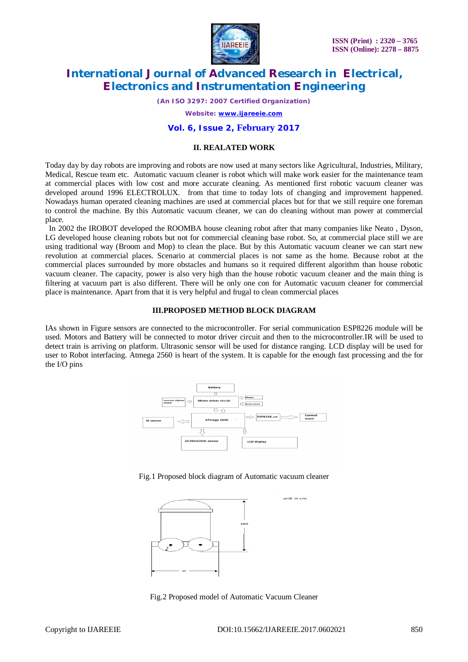

*(An ISO 3297: 2007 Certified Organization)*

*Website: [www.ijareeie.com](http://www.ijareeie.com)*

#### **Vol. 6, Issue 2, February 2017**

#### **II. REALATED WORK**

Today day by day robots are improving and robots are now used at many sectors like Agricultural, Industries, Military, Medical, Rescue team etc. Automatic vacuum cleaner is robot which will make work easier for the maintenance team at commercial places with low cost and more accurate cleaning. As mentioned first robotic vacuum cleaner was developed around 1996 ELECTROLUX. from that time to today lots of changing and improvement happened. Nowadays human operated cleaning machines are used at commercial places but for that we still require one foreman to control the machine. By this Automatic vacuum cleaner, we can do cleaning without man power at commercial place.

 In 2002 the IROBOT developed the ROOMBA house cleaning robot after that many companies like Neato , Dyson, LG developed house cleaning robots but not for commercial cleaning base robot. So, at commercial place still we are using traditional way (Broom and Mop) to clean the place. But by this Automatic vacuum cleaner we can start new revolution at commercial places. Scenario at commercial places is not same as the home. Because robot at the commercial places surrounded by more obstacles and humans so it required different algorithm than house robotic vacuum cleaner. The capacity, power is also very high than the house robotic vacuum cleaner and the main thing is filtering at vacuum part is also different. There will be only one con for Automatic vacuum cleaner for commercial place is maintenance. Apart from that it is very helpful and frugal to clean commercial places

#### **III.PROPOSED METHOD BLOCK DIAGRAM**

IAs shown in Figure sensors are connected to the microcontroller. For serial communication ESP8226 module will be used. Motors and Battery will be connected to motor driver circuit and then to the microcontroller.IR will be used to detect train is arriving on platform. Ultrasonic sensor will be used for distance ranging. LCD display will be used for user to Robot interfacing. Atmega 2560 is heart of the system. It is capable for the enough fast processing and the for the I/O pins



#### Fig.1 Proposed block diagram of Automatic vacuum cleaner



Fig.2 Proposed model of Automatic Vacuum Cleaner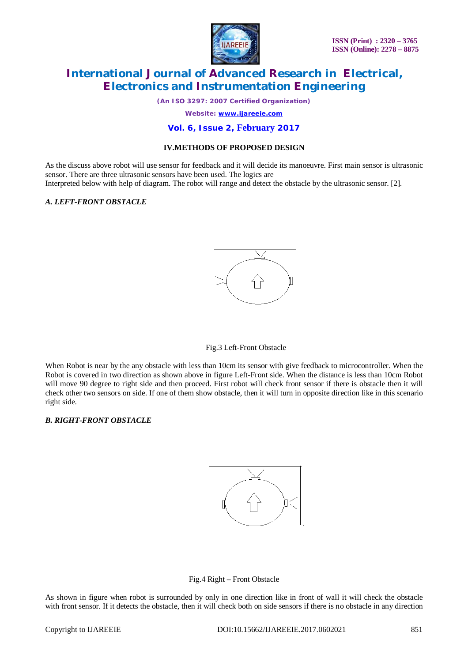

*(An ISO 3297: 2007 Certified Organization)*

*Website: [www.ijareeie.com](http://www.ijareeie.com)*

#### **Vol. 6, Issue 2, February 2017**

#### **IV.METHODS OF PROPOSED DESIGN**

As the discuss above robot will use sensor for feedback and it will decide its manoeuvre. First main sensor is ultrasonic sensor. There are three ultrasonic sensors have been used. The logics are

Interpreted below with help of diagram. The robot will range and detect the obstacle by the ultrasonic sensor. [2].

#### *A. LEFT-FRONT OBSTACLE*



#### Fig.3 Left-Front Obstacle

When Robot is near by the any obstacle with less than 10cm its sensor with give feedback to microcontroller. When the Robot is covered in two direction as shown above in figure Left-Front side. When the distance is less than 10cm Robot will move 90 degree to right side and then proceed. First robot will check front sensor if there is obstacle then it will check other two sensors on side. If one of them show obstacle, then it will turn in opposite direction like in this scenario right side.

#### *B. RIGHT-FRONT OBSTACLE*





As shown in figure when robot is surrounded by only in one direction like in front of wall it will check the obstacle with front sensor. If it detects the obstacle, then it will check both on side sensors if there is no obstacle in any direction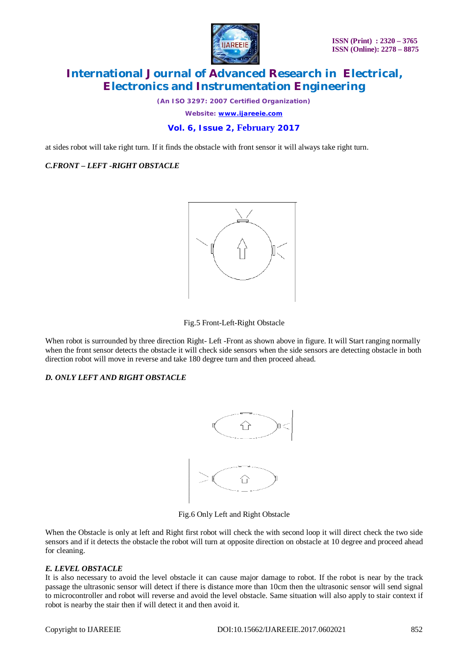

*(An ISO 3297: 2007 Certified Organization) Website: [www.ijareeie.com](http://www.ijareeie.com)*

### **Vol. 6, Issue 2, February 2017**

at sides robot will take right turn. If it finds the obstacle with front sensor it will always take right turn.

#### *C.FRONT – LEFT -RIGHT OBSTACLE*



#### Fig.5 Front-Left-Right Obstacle

When robot is surrounded by three direction Right- Left -Front as shown above in figure. It will Start ranging normally when the front sensor detects the obstacle it will check side sensors when the side sensors are detecting obstacle in both direction robot will move in reverse and take 180 degree turn and then proceed ahead.

#### *D. ONLY LEFT AND RIGHT OBSTACLE*



Fig.6 Only Left and Right Obstacle

When the Obstacle is only at left and Right first robot will check the with second loop it will direct check the two side sensors and if it detects the obstacle the robot will turn at opposite direction on obstacle at 10 degree and proceed ahead for cleaning.

#### *E. LEVEL OBSTACLE*

It is also necessary to avoid the level obstacle it can cause major damage to robot. If the robot is near by the track passage the ultrasonic sensor will detect if there is distance more than 10cm then the ultrasonic sensor will send signal to microcontroller and robot will reverse and avoid the level obstacle. Same situation will also apply to stair context if robot is nearby the stair then if will detect it and then avoid it.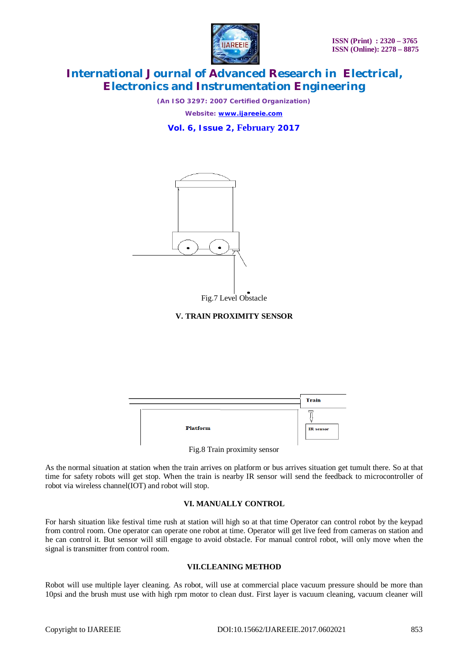

*(An ISO 3297: 2007 Certified Organization) Website: [www.ijareeie.com](http://www.ijareeie.com)*

**Vol. 6, Issue 2, February 2017**



Fig.7 Level Obstacle



|                              | <b>Train</b>     |
|------------------------------|------------------|
| <b>Platform</b>              | <b>IR</b> sensor |
| Fig.8 Train proximity sensor |                  |

As the normal situation at station when the train arrives on platform or bus arrives situation get tumult there. So at that time for safety robots will get stop. When the train is nearby IR sensor will send the feedback to microcontroller of robot via wireless channel(IOT) and robot will stop.

#### **VI. MANUALLY CONTROL**

For harsh situation like festival time rush at station will high so at that time Operator can control robot by the keypad from control room. One operator can operate one robot at time. Operator will get live feed from cameras on station and he can control it. But sensor will still engage to avoid obstacle. For manual control robot, will only move when the signal is transmitter from control room.

#### **VII.CLEANING METHOD**

Robot will use multiple layer cleaning. As robot, will use at commercial place vacuum pressure should be more than 10psi and the brush must use with high rpm motor to clean dust. First layer is vacuum cleaning, vacuum cleaner will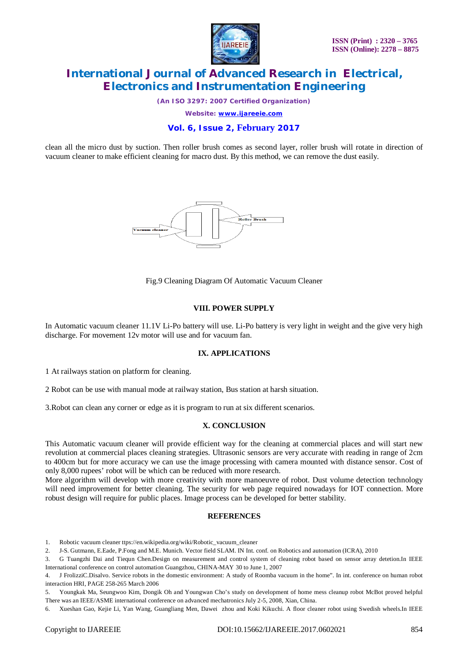

*(An ISO 3297: 2007 Certified Organization)*

*Website: [www.ijareeie.com](http://www.ijareeie.com)*

#### **Vol. 6, Issue 2, February 2017**

clean all the micro dust by suction. Then roller brush comes as second layer, roller brush will rotate in direction of vacuum cleaner to make efficient cleaning for macro dust. By this method, we can remove the dust easily.



Fig.9 Cleaning Diagram Of Automatic Vacuum Cleaner

#### **VIII. POWER SUPPLY**

In Automatic vacuum cleaner 11.1V Li-Po battery will use. Li-Po battery is very light in weight and the give very high discharge. For movement 12v motor will use and for vacuum fan.

#### **IX. APPLICATIONS**

1 At railways station on platform for cleaning.

2 Robot can be use with manual mode at railway station, Bus station at harsh situation.

3.Robot can clean any corner or edge as it is program to run at six different scenarios.

#### **X. CONCLUSION**

This Automatic vacuum cleaner will provide efficient way for the cleaning at commercial places and will start new revolution at commercial places cleaning strategies. Ultrasonic sensors are very accurate with reading in range of 2cm to 400cm but for more accuracy we can use the image processing with camera mounted with distance sensor. Cost of only 8,000 rupees' robot will be which can be reduced with more research.

More algorithm will develop with more creativity with more manoeuvre of robot. Dust volume detection technology will need improvement for better cleaning. The security for web page required nowadays for IOT connection. More robust design will require for public places. Image process can be developed for better stability.

#### **REFERENCES**

1. Robotic vacuum cleaner ttps://en.wikipedia.org/wiki/Robotic\_vacuum\_cleaner

2. J-S. Gutmann, E.Eade, P.Fong and M.E. Munich. Vector field SLAM. IN Int. conf. on Robotics and automation (ICRA), 2010

3. G Tuangzhi Dai and Tiequn Chen.Design on measurement and control system of cleaning robot based on sensor array detetion.In IEEE International conference on control automation Guangzhou, CHINA-MAY 30 to June 1, 2007

4. J FrolizziC.Disalvo. Service robots in the domestic environment: A study of Roomba vacuum in the home". In int. conference on human robot interaction HRI, PAGE 258-265 March 2006

5. Youngkak Ma, Seungwoo Kim, Dongik Oh and Youngwan Cho's study on development of home mess cleanup robot McBot proved helpful There was an IEEE/ASME international conference on advanced mechatronics July 2-5, 2008, Xian, China.

6. Xueshan Gao, Kejie Li, Yan Wang, Guangliang Men, Dawei zhou and Koki Kikuchi. A floor cleaner robot using Swedish wheels.In IEEE